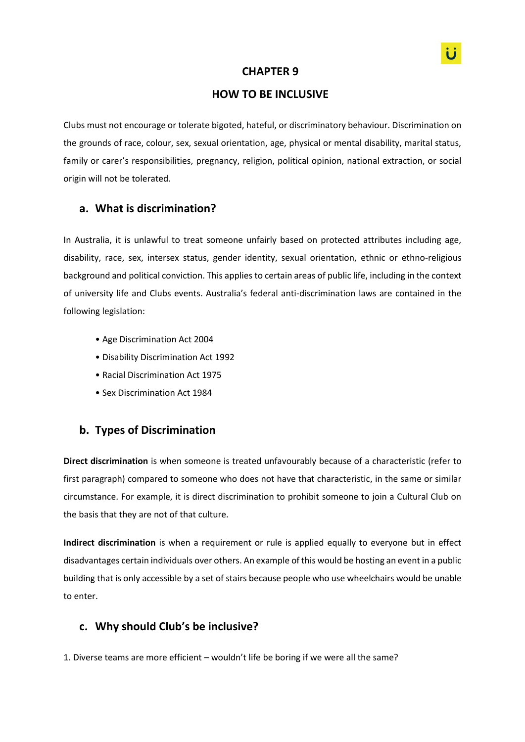#### **CHAPTER 9**

### **HOW TO BE INCLUSIVE**

Clubs must not encourage or tolerate bigoted, hateful, or discriminatory behaviour. Discrimination on the grounds of race, colour, sex, sexual orientation, age, physical or mental disability, marital status, family or carer's responsibilities, pregnancy, religion, political opinion, national extraction, or social origin will not be tolerated.

## **a. What is discrimination?**

In Australia, it is unlawful to treat someone unfairly based on protected attributes including age, disability, race, sex, intersex status, gender identity, sexual orientation, ethnic or ethno-religious background and political conviction. This applies to certain areas of public life, including in the context of university life and Clubs events. Australia's federal anti-discrimination laws are contained in the following legislation:

- Age Discrimination Act 2004
- Disability Discrimination Act 1992
- Racial Discrimination Act 1975
- Sex Discrimination Act 1984

#### **b. Types of Discrimination**

**Direct discrimination** is when someone is treated unfavourably because of a characteristic (refer to first paragraph) compared to someone who does not have that characteristic, in the same or similar circumstance. For example, it is direct discrimination to prohibit someone to join a Cultural Club on the basis that they are not of that culture.

**Indirect discrimination** is when a requirement or rule is applied equally to everyone but in effect disadvantages certain individuals over others. An example of this would be hosting an event in a public building that is only accessible by a set of stairs because people who use wheelchairs would be unable to enter.

#### **c. Why should Club's be inclusive?**

1. Diverse teams are more efficient – wouldn't life be boring if we were all the same?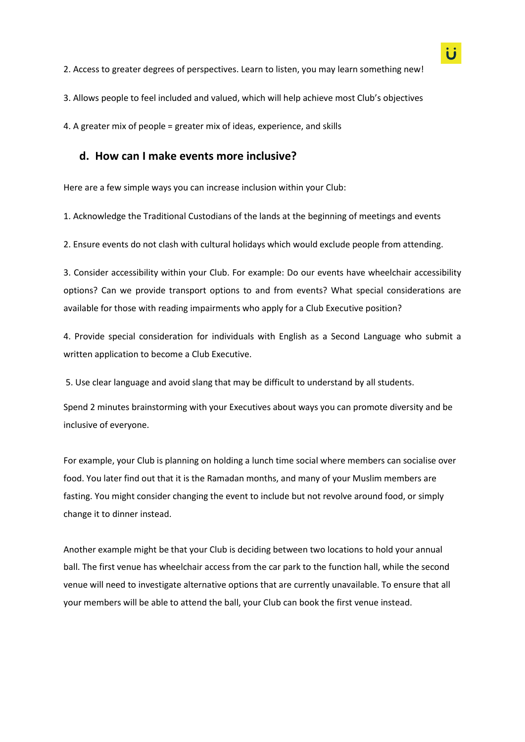3. Allows people to feel included and valued, which will help achieve most Club's objectives

4. A greater mix of people = greater mix of ideas, experience, and skills

#### **d. How can I make events more inclusive?**

Here are a few simple ways you can increase inclusion within your Club:

1. Acknowledge the Traditional Custodians of the lands at the beginning of meetings and events

2. Ensure events do not clash with cultural holidays which would exclude people from attending.

3. Consider accessibility within your Club. For example: Do our events have wheelchair accessibility options? Can we provide transport options to and from events? What special considerations are available for those with reading impairments who apply for a Club Executive position?

4. Provide special consideration for individuals with English as a Second Language who submit a written application to become a Club Executive.

5. Use clear language and avoid slang that may be difficult to understand by all students.

Spend 2 minutes brainstorming with your Executives about ways you can promote diversity and be inclusive of everyone.

For example, your Club is planning on holding a lunch time social where members can socialise over food. You later find out that it is the Ramadan months, and many of your Muslim members are fasting. You might consider changing the event to include but not revolve around food, or simply change it to dinner instead.

Another example might be that your Club is deciding between two locations to hold your annual ball. The first venue has wheelchair access from the car park to the function hall, while the second venue will need to investigate alternative options that are currently unavailable. To ensure that all your members will be able to attend the ball, your Club can book the first venue instead.